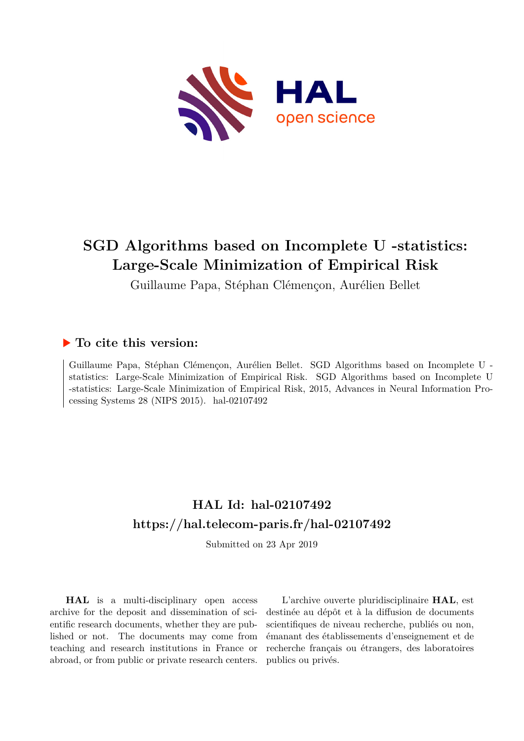

# **SGD Algorithms based on Incomplete U -statistics: Large-Scale Minimization of Empirical Risk**

Guillaume Papa, Stéphan Clémençon, Aurélien Bellet

# **To cite this version:**

Guillaume Papa, Stéphan Clémençon, Aurélien Bellet. SGD Algorithms based on Incomplete U statistics: Large-Scale Minimization of Empirical Risk. SGD Algorithms based on Incomplete U -statistics: Large-Scale Minimization of Empirical Risk, 2015, Advances in Neural Information Processing Systems  $28$  (NIPS  $2015$ ). hal-02107492

# **HAL Id: hal-02107492 <https://hal.telecom-paris.fr/hal-02107492>**

Submitted on 23 Apr 2019

**HAL** is a multi-disciplinary open access archive for the deposit and dissemination of scientific research documents, whether they are published or not. The documents may come from teaching and research institutions in France or abroad, or from public or private research centers.

L'archive ouverte pluridisciplinaire **HAL**, est destinée au dépôt et à la diffusion de documents scientifiques de niveau recherche, publiés ou non, émanant des établissements d'enseignement et de recherche français ou étrangers, des laboratoires publics ou privés.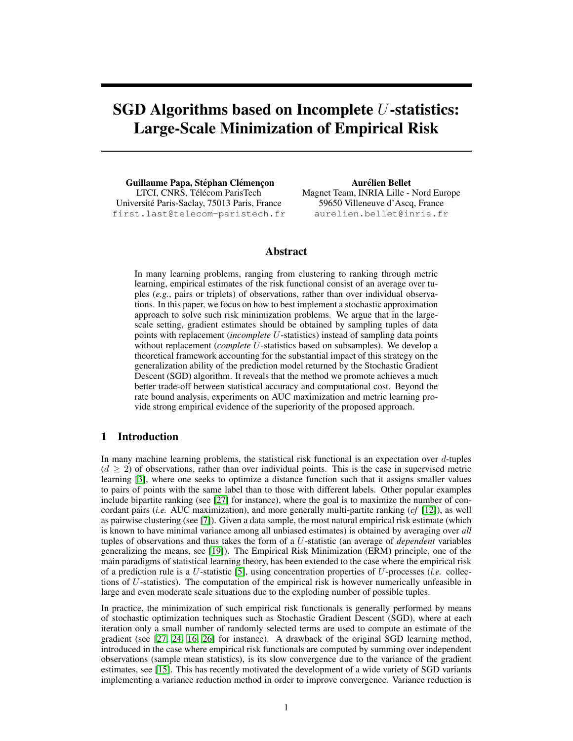# SGD Algorithms based on Incomplete  $U$ -statistics: Large-Scale Minimization of Empirical Risk

Guillaume Papa, Stéphan Clémencon LTCI, CNRS, Télécom ParisTech Universite Paris-Saclay, 75013 Paris, France ´ first.last@telecom-paristech.fr

Aurélien Bellet Magnet Team, INRIA Lille - Nord Europe 59650 Villeneuve d'Ascq, France aurelien.bellet@inria.fr

# Abstract

In many learning problems, ranging from clustering to ranking through metric learning, empirical estimates of the risk functional consist of an average over tuples (*e.g.*, pairs or triplets) of observations, rather than over individual observations. In this paper, we focus on how to best implement a stochastic approximation approach to solve such risk minimization problems. We argue that in the largescale setting, gradient estimates should be obtained by sampling tuples of data points with replacement (*incomplete* U-statistics) instead of sampling data points without replacement (*complete* U-statistics based on subsamples). We develop a theoretical framework accounting for the substantial impact of this strategy on the generalization ability of the prediction model returned by the Stochastic Gradient Descent (SGD) algorithm. It reveals that the method we promote achieves a much better trade-off between statistical accuracy and computational cost. Beyond the rate bound analysis, experiments on AUC maximization and metric learning provide strong empirical evidence of the superiority of the proposed approach.

# 1 Introduction

In many machine learning problems, the statistical risk functional is an expectation over  $d$ -tuples  $(d > 2)$  of observations, rather than over individual points. This is the case in supervised metric learning [3], where one seeks to optimize a distance function such that it assigns smaller values to pairs of points with the same label than to those with different labels. Other popular examples include bipartite ranking (see [27] for instance), where the goal is to maximize the number of concordant pairs (*i.e.* AUC maximization), and more generally multi-partite ranking (*cf* [12]), as well as pairwise clustering (see [7]). Given a data sample, the most natural empirical risk estimate (which is known to have minimal variance among all unbiased estimates) is obtained by averaging over *all* tuples of observations and thus takes the form of a U-statistic (an average of *dependent* variables generalizing the means, see [19]). The Empirical Risk Minimization (ERM) principle, one of the main paradigms of statistical learning theory, has been extended to the case where the empirical risk of a prediction rule is a U-statistic [5], using concentration properties of U-processes (*i.e.* collections of  $U$ -statistics). The computation of the empirical risk is however numerically unfeasible in large and even moderate scale situations due to the exploding number of possible tuples.

In practice, the minimization of such empirical risk functionals is generally performed by means of stochastic optimization techniques such as Stochastic Gradient Descent (SGD), where at each iteration only a small number of randomly selected terms are used to compute an estimate of the gradient (see [27, 24, 16, 26] for instance). A drawback of the original SGD learning method, introduced in the case where empirical risk functionals are computed by summing over independent observations (sample mean statistics), is its slow convergence due to the variance of the gradient estimates, see [15]. This has recently motivated the development of a wide variety of SGD variants implementing a variance reduction method in order to improve convergence. Variance reduction is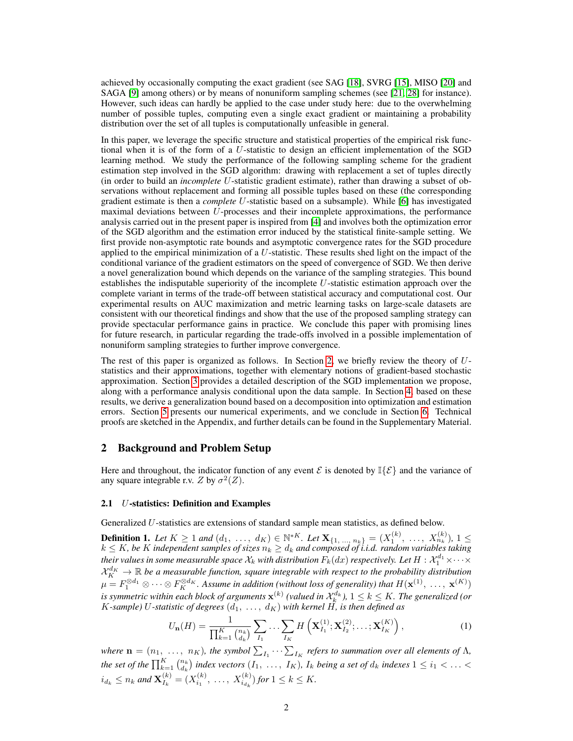achieved by occasionally computing the exact gradient (see SAG [18], SVRG [15], MISO [20] and SAGA [9] among others) or by means of nonuniform sampling schemes (see [21, 28] for instance). However, such ideas can hardly be applied to the case under study here: due to the overwhelming number of possible tuples, computing even a single exact gradient or maintaining a probability distribution over the set of all tuples is computationally unfeasible in general.

In this paper, we leverage the specific structure and statistical properties of the empirical risk functional when it is of the form of a U-statistic to design an efficient implementation of the SGD learning method. We study the performance of the following sampling scheme for the gradient estimation step involved in the SGD algorithm: drawing with replacement a set of tuples directly (in order to build an *incomplete* U-statistic gradient estimate), rather than drawing a subset of observations without replacement and forming all possible tuples based on these (the corresponding gradient estimate is then a *complete* U-statistic based on a subsample). While [6] has investigated maximal deviations between U-processes and their incomplete approximations, the performance analysis carried out in the present paper is inspired from [4] and involves both the optimization error of the SGD algorithm and the estimation error induced by the statistical finite-sample setting. We first provide non-asymptotic rate bounds and asymptotic convergence rates for the SGD procedure applied to the empirical minimization of a U-statistic. These results shed light on the impact of the conditional variance of the gradient estimators on the speed of convergence of SGD. We then derive a novel generalization bound which depends on the variance of the sampling strategies. This bound establishes the indisputable superiority of the incomplete U-statistic estimation approach over the complete variant in terms of the trade-off between statistical accuracy and computational cost. Our experimental results on AUC maximization and metric learning tasks on large-scale datasets are consistent with our theoretical findings and show that the use of the proposed sampling strategy can provide spectacular performance gains in practice. We conclude this paper with promising lines for future research, in particular regarding the trade-offs involved in a possible implementation of nonuniform sampling strategies to further improve convergence.

The rest of this paper is organized as follows. In Section 2, we briefly review the theory of  $U$ statistics and their approximations, together with elementary notions of gradient-based stochastic approximation. Section 3 provides a detailed description of the SGD implementation we propose, along with a performance analysis conditional upon the data sample. In Section 4, based on these results, we derive a generalization bound based on a decomposition into optimization and estimation errors. Section 5 presents our numerical experiments, and we conclude in Section 6. Technical proofs are sketched in the Appendix, and further details can be found in the Supplementary Material.

# 2 Background and Problem Setup

Here and throughout, the indicator function of any event  $\mathcal E$  is denoted by  $\mathbb{I}\{\mathcal E\}$  and the variance of any square integrable r.v. Z by  $\sigma^2(Z)$ .

#### 2.1 U-statistics: Definition and Examples

Generalized U-statistics are extensions of standard sample mean statistics, as defined below.

**Definition 1.** Let  $K \ge 1$  and  $(d_1, ..., d_K) \in \mathbb{N}^{*K}$ . Let  $\mathbf{X}_{\{1, ..., n_k\}} = (X_1^{(k)}, ..., X_{n_k}^{(k)}), 1 ≤$  $k \leq K$ , be  $K$  independent samples of sizes  $n_k \geq d_k$  and composed of i.i.d. random variables taking their values in some measurable space  $\mathcal{X}_k$  with distribution  $F_k(dx)$  respectively. Let  $H:\mathcal{X}_1^{d_1}\times\cdots\times$  $\mathcal{X}_K^{d_K}\to \mathbb{R}$  be a measurable function, square integrable with respect to the probability distribution  $\mu=F_1^{\otimes d_1}\otimes\cdots\otimes F_K^{\otimes d_K}.$  Assume in addition (without loss of generality) that  $H(\mathbf{x}^{(1)},$   $\,\ldots,\,\mathbf{x}^{(K)})$ is symmetric within each block of arguments  $\mathbf{x}^{(k)}$  (valued in  $\mathcal{X}_k^{d_k}$  ),  $1\leq k\leq K.$  The generalized (or  $K$ -sample)  $U$ -statistic of degrees  $(d_1, \ \ldots, \ d_K)$  with kernel  $H$ , is then defined as

$$
U_{\mathbf{n}}(H) = \frac{1}{\prod_{k=1}^{K} {n_k \choose d_k}} \sum_{I_1} \ldots \sum_{I_K} H\left(\mathbf{X}_{I_1}^{(1)}; \mathbf{X}_{I_2}^{(2)}; \ldots; \mathbf{X}_{I_K}^{(K)}\right),
$$
(1)

*where*  $\mathbf{n} = (n_1, \ldots, n_K)$ , the symbol  $\sum_{I_1} \cdots \sum_{I_K}$  refers to summation over all elements of  $\Lambda$ , *the set of the*  $\prod_{k=1}^K \binom{n_k}{d_k}$  *index vectors*  $(I_1, \ldots, I_K)$ *,*  $I_k$  *being a set of*  $d_k$  *indexes*  $1 \leq i_1 < \ldots <$  $i_{d_k} \leq n_k$  and  $\mathbf{X}_{I_k}^{(k)}$  $I_k^{(k)} = (X_{i_1}^{(k)}, \ldots, X_{i_{d_k}}^{(k)})$  for  $1 \leq k \leq K$ .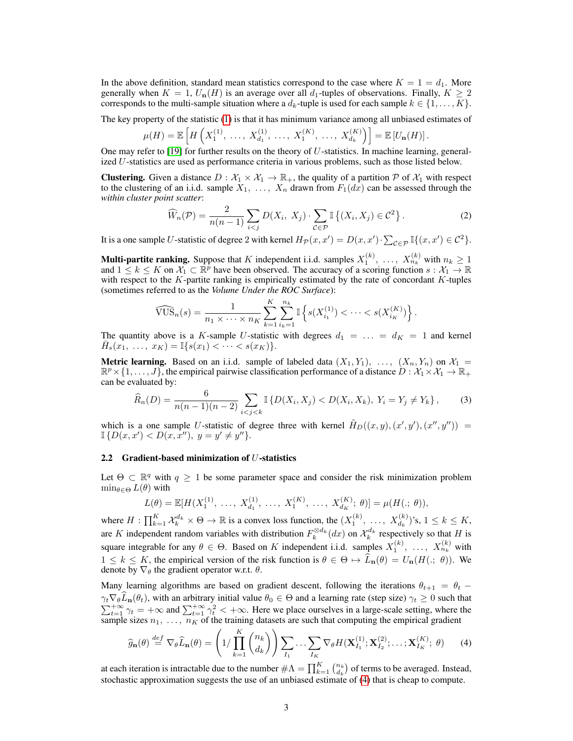In the above definition, standard mean statistics correspond to the case where  $K = 1 = d_1$ . More generally when  $K = 1$ ,  $U_n(H)$  is an average over all  $d_1$ -tuples of observations. Finally,  $K \geq 2$ corresponds to the multi-sample situation where a  $d_k$ -tuple is used for each sample  $k \in \{1, \ldots, K\}$ .

The key property of the statistic (1) is that it has minimum variance among all unbiased estimates of

$$
\mu(H) = \mathbb{E}\left[H\left(X_1^{(1)},\ \ldots,\ X_{d_1}^{(1)},\ \ldots,\ X_1^{(K)},\ \ldots,\ X_{d_k}^{(K)}\right)\right] = \mathbb{E}\left[U_{\mathbf{n}}(H)\right].
$$

One may refer to  $[19]$  for further results on the theory of U-statistics. In machine learning, generalized U-statistics are used as performance criteria in various problems, such as those listed below.

**Clustering.** Given a distance  $D : \mathcal{X}_1 \times \mathcal{X}_1 \to \mathbb{R}_+$ , the quality of a partition  $\mathcal{P}$  of  $\mathcal{X}_1$  with respect to the clustering of an i.i.d. sample  $X_1, \ldots, X_n$  drawn from  $F_1(dx)$  can be assessed through the *within cluster point scatter*:

$$
\widehat{W}_n(\mathcal{P}) = \frac{2}{n(n-1)} \sum_{i < j} D(X_i, X_j) \cdot \sum_{\mathcal{C} \in \mathcal{P}} \mathbb{I} \left\{ (X_i, X_j) \in \mathcal{C}^2 \right\}. \tag{2}
$$

It is a one sample U-statistic of degree 2 with kernel  $H_{\mathcal{P}}(x, x') = D(x, x') \cdot \sum_{\mathcal{C} \in \mathcal{P}} \mathbb{I}\{(x, x') \in \mathcal{C}^2\}.$ 

**Multi-partite ranking.** Suppose that K independent i.i.d. samples  $X_1^{(k)}$ , ...,  $X_{n_k}^{(k)}$  with  $n_k \ge 1$ and  $1 \leq k \leq K$  on  $\mathcal{X}_1 \subset \mathbb{R}^p$  have been observed. The accuracy of a scoring function  $s: \mathcal{X}_1 \to \mathbb{R}$ with respect to the  $K$ -partite ranking is empirically estimated by the rate of concordant  $K$ -tuples (sometimes referred to as the *Volume Under the ROC Surface*):

$$
\widehat{\text{VUS}}_n(s) = \frac{1}{n_1 \times \dots \times n_K} \sum_{k=1}^K \sum_{i_k=1}^{n_k} \mathbb{I}\left\{s(X_{i_1}^{(1)}) < \dots < s(X_{i_K}^{(K)})\right\}.
$$

The quantity above is a K-sample U-statistic with degrees  $d_1 = \ldots = d_K = 1$  and kernel  $\bar{H}_s(x_1, \ldots, x_K) = \mathbb{I}\{s(x_1) < \cdots < s(x_K)\}.$ 

**Metric learning.** Based on an i.i.d. sample of labeled data  $(X_1, Y_1), \ldots, (X_n, Y_n)$  on  $\mathcal{X}_1 =$  $\mathbb{R}^p\times\{1,\ldots,J\}$ , the empirical pairwise classification performance of a distance  $D:\mathcal{X}_1\times\mathcal{X}_1\to\mathbb{R}_+$ can be evaluated by:

$$
\widehat{R}_n(D) = \frac{6}{n(n-1)(n-2)} \sum_{i < j < k} \mathbb{I}\left\{D(X_i, X_j) < D(X_i, X_k), \ Y_i = Y_j \neq Y_k\right\},\tag{3}
$$

which is a one sample U-statistic of degree three with kernel  $\tilde{H}_D((x,y),(x',y'),(x'',y'')) =$  $\mathbb{I} \{ D(x, x') < D(x, x''), \ y = y' \neq y'' \}.$ 

#### 2.2 Gradient-based minimization of U-statistics

Let  $\Theta \subset \mathbb{R}^q$  with  $q \geq 1$  be some parameter space and consider the risk minimization problem  $\min_{\theta \in \Theta} L(\theta)$  with

$$
L(\theta) = \mathbb{E}[H(X_1^{(1)}, \ldots, X_{d_1}^{(1)}, \ldots, X_1^{(K)}, \ldots, X_{d_K}^{(K)}; \theta)] = \mu(H(.; \theta)),
$$

where  $H: \prod_{k=1}^K \mathcal{X}_k^{d_k} \times \Theta \to \mathbb{R}$  is a convex loss function, the  $(X_1^{(k)}, \ldots, X_{d_k}^{(k)})$ 's,  $1 \le k \le K$ , are K independent random variables with distribution  $F_k^{\otimes d_k}(dx)$  on  $\mathcal{X}_k^{d_k}$  respectively so that H is square integrable for any  $\theta \in \Theta$ . Based on K independent i.i.d. samples  $X_1^{(k)}$ , ...,  $X_{n_k}^{(k)}$  with  $1 \leq k \leq K$ , the empirical version of the risk function is  $\theta \in \Theta \mapsto \hat{L}_{n}(\theta) = U_{n}(H(.; \theta))$ . We denote by  $\nabla_{\theta}$  the gradient operator w.r.t.  $\theta$ .

Many learning algorithms are based on gradient descent, following the iterations  $\theta_{t+1} = \theta_t$  –  $\gamma_t \nabla_{\theta} \widehat{L}_{\mathbf{n}}(\theta_t)$ , with an arbitrary initial value  $\theta_0 \in \Theta$  and a learning rate (step size)  $\gamma_t \geq 0$  such that  $\sum_{t=1}^{+\infty} \gamma_t = +\infty$  and  $\sum_{t=1}^{+\infty} \gamma_t^2 < +\infty$ . Here we place ourselves in a large-scale setting, where the sample sizes  $n_1, \ldots, n_K$  of the training datasets are such that computing the empirical gradient

$$
\widehat{g}_{\mathbf{n}}(\theta) \stackrel{def}{=} \nabla_{\theta}\widehat{L}_{\mathbf{n}}(\theta) = \left(1/\prod_{k=1}^{K} \binom{n_k}{d_k}\right) \sum_{I_1} \cdots \sum_{I_K} \nabla_{\theta} H(\mathbf{X}_{I_1}^{(1)}; \mathbf{X}_{I_2}^{(2)}; \ldots; \mathbf{X}_{I_K}^{(K)}; \theta) \tag{4}
$$

at each iteration is intractable due to the number  $\#\Lambda = \prod_{k=1}^K \binom{n_k}{d_k}$  of terms to be averaged. Instead, stochastic approximation suggests the use of an unbiased estimate of (4) that is cheap to compute.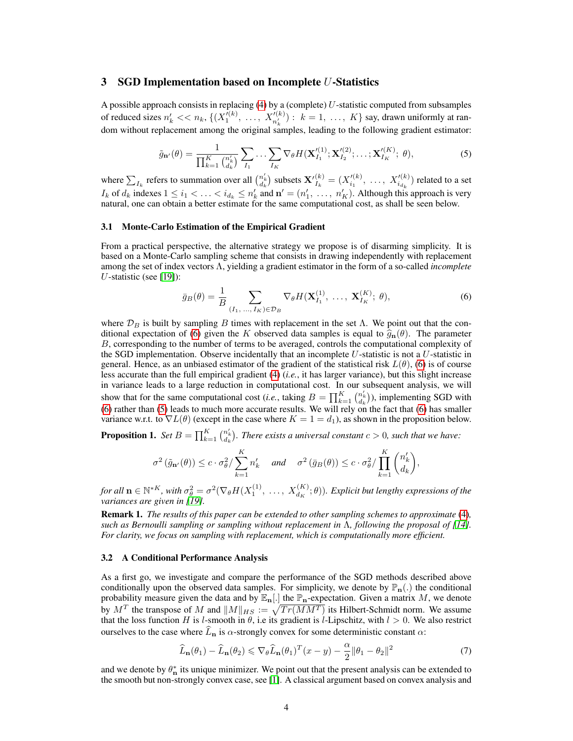# 3 SGD Implementation based on Incomplete U-Statistics

A possible approach consists in replacing  $(4)$  by a (complete) U-statistic computed from subsamples of reduced sizes  $n'_k \ll n_k$ ,  $\{(X_1^{(k)}, \ldots, X_{n'_k}^{(k)}) : k = 1, \ldots, K\}$  say, drawn uniformly at random without replacement among the original samples, leading to the following gradient estimator:

$$
\tilde{g}_{\mathbf{n}'}(\theta) = \frac{1}{\prod_{k=1}^{K} {n'_{k} \choose d_{k}} } \sum_{I_{1}} \cdots \sum_{I_{K}} \nabla_{\theta} H(\mathbf{X}'_{I_{1}}^{(1)}; \mathbf{X}'_{I_{2}}^{(2)}; \ldots; \mathbf{X}'_{I_{K}}^{(K)}; \theta),
$$
\n(5)

where  $\sum_{I_k}$  refers to summation over all  $\binom{n'_k}{d_k}$  subsets  $\mathbf{X'}_{I_k}^{(k)}$  $I_k^{(k)} = (X_{i_1}^{\prime (k)})$  $\mathcal{I}_{i_1}^{(k)}, \ldots, \mathcal{X}_{i_{d_k}}^{(k)}$  related to a set  $I_k$  of  $d_k$  indexes  $1 \le i_1 < \ldots < i_{d_k} \le n'_k$  and  $\mathbf{n}' = (n'_1, \ldots, n'_K)$ . Although this approach is very natural, one can obtain a better estimate for the same computational cost, as shall be seen below.

#### 3.1 Monte-Carlo Estimation of the Empirical Gradient

From a practical perspective, the alternative strategy we propose is of disarming simplicity. It is based on a Monte-Carlo sampling scheme that consists in drawing independently with replacement among the set of index vectors Λ, yielding a gradient estimator in the form of a so-called *incomplete* U-statistic (see [19]):

$$
\bar{g}_B(\theta) = \frac{1}{B} \sum_{(I_1, ..., I_K) \in \mathcal{D}_B} \nabla_{\theta} H(\mathbf{X}_{I_1}^{(1)}, ..., \mathbf{X}_{I_K}^{(K)}; \theta),
$$
(6)

where  $\mathcal{D}_B$  is built by sampling B times with replacement in the set Λ. We point out that the conditional expectation of (6) given the K observed data samples is equal to  $\hat{g}_{n}(\theta)$ . The parameter B, corresponding to the number of terms to be averaged, controls the computational complexity of the SGD implementation. Observe incidentally that an incomplete  $U$ -statistic is not a  $U$ -statistic in general. Hence, as an unbiased estimator of the gradient of the statistical risk  $L(\theta)$ , (6) is of course less accurate than the full empirical gradient (4) (*i.e.*, it has larger variance), but this slight increase in variance leads to a large reduction in computational cost. In our subsequent analysis, we will show that for the same computational cost (*i.e.*, taking  $B = \prod_{k=1}^{K} {n'_{a_k} \choose d_k}$ ), implementing SGD with (6) rather than (5) leads to much more accurate results. We will rely on the fact that (6) has smaller variance w.r.t. to  $\nabla L(\theta)$  (except in the case where  $K = 1 = d_1$ ), as shown in the proposition below.

**Proposition 1.** *Set*  $B = \prod_{k=1}^K {n'_k \choose d_k}$ *. There exists a universal constant*  $c > 0$ *, such that we have:* 

$$
\sigma^2\left(\tilde{g}_{\mathbf{n}'}(\theta)\right) \le c\cdot \sigma^2_{\theta}/\sum_{k=1}^K n'_k \quad \text{ and } \quad \sigma^2\left(\bar{g}_B(\theta)\right) \le c\cdot \sigma^2_{\theta}/\prod_{k=1}^K \binom{n'_k}{d_k},
$$

 ${\it for\ all\ } \mathbf{n}\in\mathbb{N}^{*K},$  with  $\sigma_\theta^2=\sigma^2(\nabla_\theta H(X_1^{(1)},\ \ldots,\ X_{d_K}^{(K)};\theta)).$  Explicit but lengthy expressions of the *variances are given in [19].*

Remark 1. *The results of this paper can be extended to other sampling schemes to approximate* (4)*, such as Bernoulli sampling or sampling without replacement in* Λ*, following the proposal of [14]. For clarity, we focus on sampling with replacement, which is computationally more efficient.*

#### 3.2 A Conditional Performance Analysis

As a first go, we investigate and compare the performance of the SGD methods described above conditionally upon the observed data samples. For simplicity, we denote by  $\mathbb{P}_{n}$ . the conditional probability measure given the data and by  $\mathbb{E}_{n}[.]$  the  $\mathbb{P}_{n}$ -expectation. Given a matrix M, we denote by  $M^T$  the transpose of M and  $||M||_{HS} := \sqrt{Tr(MM^T)}$  its Hilbert-Schmidt norm. We assume that the loss function H is l-smooth in  $\theta$ , i.e its gradient is l-Lipschitz, with  $l > 0$ . We also restrict ourselves to the case where  $\widehat{L}_{n}$  is  $\alpha$ -strongly convex for some deterministic constant  $\alpha$ :

$$
\widehat{L}_{\mathbf{n}}(\theta_1) - \widehat{L}_{\mathbf{n}}(\theta_2) \leqslant \nabla_{\theta} \widehat{L}_{\mathbf{n}}(\theta_1)^T (x - y) - \frac{\alpha}{2} ||\theta_1 - \theta_2||^2 \tag{7}
$$

and we denote by  $\theta_{\bf n}^*$  its unique minimizer. We point out that the present analysis can be extended to the smooth but non-strongly convex case, see [1]. A classical argument based on convex analysis and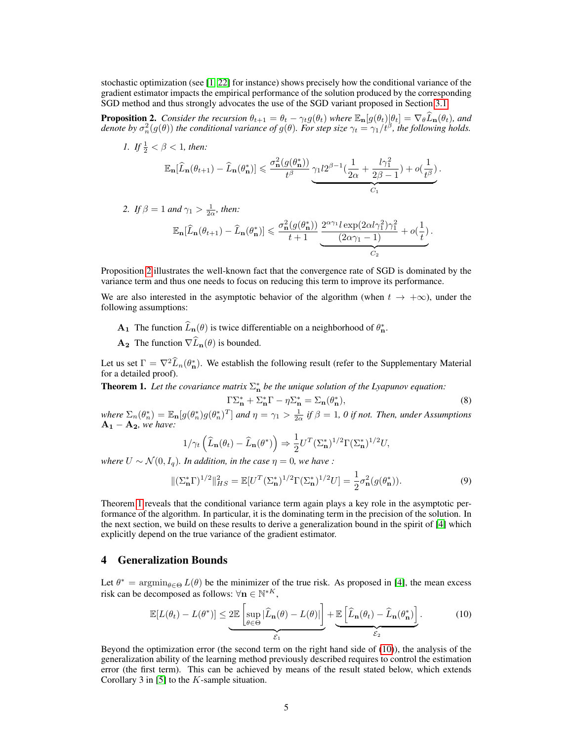stochastic optimization (see [1, 22] for instance) shows precisely how the conditional variance of the gradient estimator impacts the empirical performance of the solution produced by the corresponding SGD method and thus strongly advocates the use of the SGD variant proposed in Section 3.1.

**Proposition 2.** Consider the recursion  $\theta_{t+1} = \theta_t - \gamma_t g(\theta_t)$  where  $\mathbb{E}_{\mathbf{n}}[g(\theta_t)|\theta_t] = \nabla_{\theta}\widehat{L}_{\mathbf{n}}(\theta_t)$ , and denote by  $\sigma_n^2(g(\theta))$  the conditional variance of  $g(\theta)$ . For step size  $\gamma_t = \gamma_1/t^{\beta}$ , the followi

*1. If*  $\frac{1}{2} < \beta < 1$ *, then:* 

$$
\mathbb{E}_{\mathbf{n}}[\widehat{L}_{\mathbf{n}}(\theta_{t+1}) - \widehat{L}_{\mathbf{n}}(\theta_{\mathbf{n}}^*)] \leqslant \frac{\sigma_{\mathbf{n}}^2(g(\theta_{\mathbf{n}}^*))}{t^{\beta}} \underbrace{\gamma_1 l 2^{\beta-1}(\frac{1}{2\alpha} + \frac{l\gamma_1^2}{2\beta-1}) + o(\frac{1}{t^{\beta}})}_{C_1}.
$$

2. If  $\beta = 1$  and  $\gamma_1 > \frac{1}{2\alpha}$ , then:

$$
\mathbb{E}_{\mathbf{n}}[\widehat{L}_{\mathbf{n}}(\theta_{t+1}) - \widehat{L}_{\mathbf{n}}(\theta_{\mathbf{n}}^*)] \leqslant \frac{\sigma_{\mathbf{n}}^2(g(\theta_{\mathbf{n}}^*))}{t+1} \underbrace{\frac{2^{\alpha \gamma_1} l \exp(2\alpha l \gamma_1^2)\gamma_1^2}{(2\alpha \gamma_1 - 1)} + o(\frac{1}{t})}_{C_2}.
$$

Proposition 2 illustrates the well-known fact that the convergence rate of SGD is dominated by the variance term and thus one needs to focus on reducing this term to improve its performance.

We are also interested in the asymptotic behavior of the algorithm (when  $t \to +\infty$ ), under the following assumptions:

- **A**<sub>1</sub> The function  $\widehat{L}_{n}(\theta)$  is twice differentiable on a neighborhood of  $\theta_{n}^{*}$ .
- $\mathbf{A_2}$  The function  $\nabla \widehat{L}_{\mathbf{n}}(\theta)$  is bounded.

Let us set  $\Gamma = \nabla^2 \widehat{L}_n(\theta^*)$ . We establish the following result (refer to the Supplementary Material for a detailed proof).

**Theorem 1.** Let the covariance matrix  $\Sigma_n^*$  be the unique solution of the Lyapunov equation:

$$
\Gamma \Sigma_{\mathbf{n}}^* + \Sigma_{\mathbf{n}}^* \Gamma - \eta \Sigma_{\mathbf{n}}^* = \Sigma_{\mathbf{n}} (\theta_{\mathbf{n}}^*),\tag{8}
$$

*where*  $\Sigma_n(\theta_n^*) = \mathbb{E}_n[g(\theta_n^*)g(\theta_n^*)^T]$  *and*  $\eta = \gamma_1 > \frac{1}{2\alpha}$  *if*  $\beta = 1$ *,* 0 *if not. Then, under Assumptions*  $A_1 - A_2$ *, we have:* 

$$
1/\gamma_t \left(\widehat{L}_{\mathbf{n}}(\theta_t) - \widehat{L}_{\mathbf{n}}(\theta^*)\right) \Rightarrow \frac{1}{2} U^T (\Sigma^*_{\mathbf{n}})^{1/2} \Gamma (\Sigma^*_{\mathbf{n}})^{1/2} U,
$$

*where*  $U \sim \mathcal{N}(0, I_a)$ *. In addition, in the case*  $\eta = 0$ *, we have :* 

$$
\|(\Sigma_{\mathbf{n}}^*\Gamma)^{1/2}\|_{HS}^2 = \mathbb{E}[U^T(\Sigma_{\mathbf{n}}^*)^{1/2}\Gamma(\Sigma_{\mathbf{n}}^*)^{1/2}U] = \frac{1}{2}\sigma_{\mathbf{n}}^2(g(\theta_{\mathbf{n}}^*)). \tag{9}
$$

Theorem 1 reveals that the conditional variance term again plays a key role in the asymptotic performance of the algorithm. In particular, it is the dominating term in the precision of the solution. In the next section, we build on these results to derive a generalization bound in the spirit of [4] which explicitly depend on the true variance of the gradient estimator.

# 4 Generalization Bounds

Let  $\theta^* = \operatorname{argmin}_{\theta \in \Theta} L(\theta)$  be the minimizer of the true risk. As proposed in [4], the mean excess risk can be decomposed as follows:  $\forall n \in \mathbb{N}^{*K}$ ,

$$
\mathbb{E}[L(\theta_t) - L(\theta^*)] \leq \underbrace{2\mathbb{E}\left[\sup_{\theta \in \Theta} |\widehat{L}_{\mathbf{n}}(\theta) - L(\theta)|\right]}_{\mathcal{E}_1} + \underbrace{\mathbb{E}\left[\widehat{L}_{\mathbf{n}}(\theta_t) - \widehat{L}_{\mathbf{n}}(\theta^*_{\mathbf{n}})\right]}_{\mathcal{E}_2}.
$$
 (10)

Beyond the optimization error (the second term on the right hand side of (10)), the analysis of the generalization ability of the learning method previously described requires to control the estimation error (the first term). This can be achieved by means of the result stated below, which extends Corollary 3 in [5] to the K-sample situation.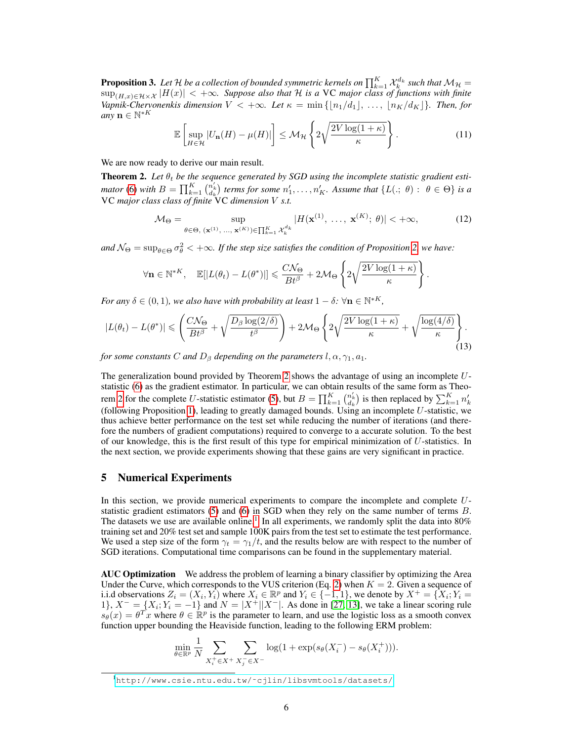**Proposition 3.** Let H be a collection of bounded symmetric kernels on  $\prod_{k=1}^K \mathcal{X}_k^{d_k}$  such that  $\mathcal{M}_\mathcal{H} =$ sup(H,x)∈H×X |H(x)| < +∞*. Suppose also that* H *is a* VC *major class of functions with finite Vapnik-Chervonenkis dimension*  $V < +\infty$ . Let  $\kappa = \min\{|n_1/d_1|, \ldots, |n_K/d_K|\}$ . Then, for  $\lim_{M \to \infty} \mathbf{n} \in \mathbb{N}^{*K}$ 

$$
\mathbb{E}\left[\sup_{H\in\mathcal{H}}|U_{\mathbf{n}}(H)-\mu(H)|\right]\leq\mathcal{M}_{\mathcal{H}}\left\{2\sqrt{\frac{2V\log(1+\kappa)}{\kappa}}\right\}.
$$
\n(11)

We are now ready to derive our main result.

**Theorem 2.** Let  $\theta_t$  be the sequence generated by SGD using the incomplete statistic gradient esti*mator* (6) *with*  $B = \prod_{k=1}^{K} {n'_{k} \choose a_{k}}$  *terms for some*  $n'_{1}, \ldots, n'_{K}$ . Assume that  $\{L(., \theta) : \theta \in \Theta\}$  *is a* VC *major class class of finite* VC *dimension* V *s.t.*

$$
\mathcal{M}_{\Theta} = \sup_{\theta \in \Theta, \ (\mathbf{x}^{(1)}, \dots, \ \mathbf{x}^{(K)}) \in \prod_{k=1}^{K} \mathcal{X}_{k}^{d_{k}}} |H(\mathbf{x}^{(1)}, \ \dots, \ \mathbf{x}^{(K)}; \ \theta)| < +\infty,\tag{12}
$$

.

 $\alpha$  and  $\mathcal{N}_{\Theta} = \sup_{\theta \in \Theta} \sigma_{\theta}^2 < +\infty$ . If the step size satisfies the condition of Proposition 2, we have:

$$
\forall \mathbf{n} \in \mathbb{N}^{*K}, \quad \mathbb{E}[|L(\theta_t) - L(\theta^*)|] \leqslant \frac{C\mathcal{N}_{\Theta}}{Bt^{\beta}} + 2\mathcal{M}_{\Theta} \left\{ 2\sqrt{\frac{2V\log(1+\kappa)}{\kappa}} \right\}
$$

*For any*  $\delta \in (0, 1)$ *, we also have with probability at least*  $1 - \delta$ *:*  $\forall n \in \mathbb{N}^{*K}$ *,* 

$$
|L(\theta_t) - L(\theta^*)| \leqslant \left(\frac{C\mathcal{N}_{\Theta}}{Bt^{\beta}} + \sqrt{\frac{D_{\beta}\log(2/\delta)}{t^{\beta}}}\right) + 2\mathcal{M}_{\Theta}\left\{2\sqrt{\frac{2V\log(1+\kappa)}{\kappa}} + \sqrt{\frac{\log(4/\delta)}{\kappa}}\right\}.
$$
\n(13)

*for some constants* C *and*  $D_\beta$  *depending on the parameters*  $l, \alpha, \gamma_1, a_1$ *.* 

The generalization bound provided by Theorem 2 shows the advantage of using an incomplete  $U$ statistic (6) as the gradient estimator. In particular, we can obtain results of the same form as Theorem 2 for the complete U-statistic estimator (5), but  $B = \prod_{k=1}^{K} {n'_{k} \choose d_{k}}$  is then replaced by  $\sum_{k=1}^{K} n'_{k}$ (following Proposition 1), leading to greatly damaged bounds. Using an incomplete  $U$ -statistic, we thus achieve better performance on the test set while reducing the number of iterations (and therefore the numbers of gradient computations) required to converge to a accurate solution. To the best of our knowledge, this is the first result of this type for empirical minimization of U-statistics. In the next section, we provide experiments showing that these gains are very significant in practice.

# 5 Numerical Experiments

In this section, we provide numerical experiments to compare the incomplete and complete Ustatistic gradient estimators  $(5)$  and  $(6)$  in SGD when they rely on the same number of terms  $B$ . The datasets we use are available online.<sup>1</sup> In all experiments, we randomly split the data into  $80\%$ training set and 20% test set and sample 100K pairs from the test set to estimate the test performance. We used a step size of the form  $\gamma_t = \gamma_1/t$ , and the results below are with respect to the number of SGD iterations. Computational time comparisons can be found in the supplementary material.

AUC Optimization We address the problem of learning a binary classifier by optimizing the Area Under the Curve, which corresponds to the VUS criterion (Eq. 2) when  $K = 2$ . Given a sequence of i.i.d observations  $Z_i = (X_i, Y_i)$  where  $X_i \in \mathbb{R}^p$  and  $Y_i \in \{-1, 1\}$ , we denote by  $X^+ = \{X_i, Y_i =$ 1},  $X^- = \{X_i; Y_i = -1\}$  and  $N = |X^+||X^-|$ . As done in [27, 13], we take a linear scoring rule  $s_{\theta}(x) = \theta^T x$  where  $\theta \in \mathbb{R}^p$  is the parameter to learn, and use the logistic loss as a smooth convex function upper bounding the Heaviside function, leading to the following ERM problem:

$$
\min_{\theta \in \mathbb{R}^p} \frac{1}{N} \sum_{X_i^+ \in X^+} \sum_{X_j^- \in X^-} \log(1 + \exp(s_\theta(X_i^-) - s_\theta(X_i^+))).
$$

<sup>1</sup>[http://www.csie.ntu.edu.tw/˜cjlin/libsvmtools/datasets/](http://www.csie.ntu.edu.tw/~cjlin/libsvmtools/datasets/)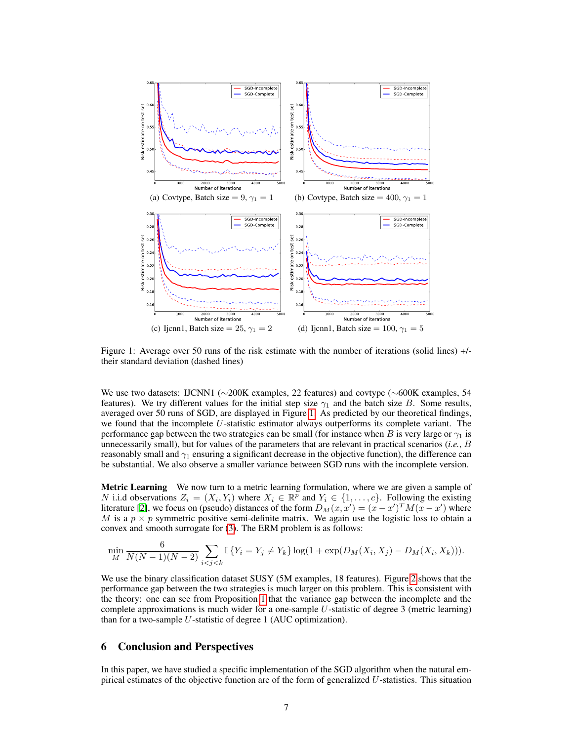

Figure 1: Average over 50 runs of the risk estimate with the number of iterations (solid lines) +/ their standard deviation (dashed lines)

We use two datasets: IJCNN1 (∼200K examples, 22 features) and covtype (∼600K examples, 54 features). We try different values for the initial step size  $\gamma_1$  and the batch size B. Some results, averaged over 50 runs of SGD, are displayed in Figure 1. As predicted by our theoretical findings, we found that the incomplete  $U$ -statistic estimator always outperforms its complete variant. The performance gap between the two strategies can be small (for instance when B is very large or  $\gamma_1$  is unnecessarily small), but for values of the parameters that are relevant in practical scenarios (*i.e.*, B reasonably small and  $\gamma_1$  ensuring a significant decrease in the objective function), the difference can be substantial. We also observe a smaller variance between SGD runs with the incomplete version.

Metric Learning We now turn to a metric learning formulation, where we are given a sample of N i.i.d observations  $Z_i = (X_i, Y_i)$  where  $X_i \in \mathbb{R}^p$  and  $Y_i \in \{1, \ldots, c\}$ . Following the existing literature [2], we focus on (pseudo) distances of the form  $D_M(x, x') = (x - x')^T M (\bar{x} - x')$  where M is a  $p \times p$  symmetric positive semi-definite matrix. We again use the logistic loss to obtain a convex and smooth surrogate for (3). The ERM problem is as follows:

$$
\min_{M} \frac{6}{N(N-1)(N-2)} \sum_{i < j < k} \mathbb{I}\left\{Y_i = Y_j \neq Y_k\right\} \log(1 + \exp(D_M(X_i, X_j) - D_M(X_i, X_k))).
$$

We use the binary classification dataset SUSY (5M examples, 18 features). Figure 2 shows that the performance gap between the two strategies is much larger on this problem. This is consistent with the theory: one can see from Proposition 1 that the variance gap between the incomplete and the complete approximations is much wider for a one-sample  $U$ -statistic of degree 3 (metric learning) than for a two-sample  $U$ -statistic of degree 1 (AUC optimization).

## 6 Conclusion and Perspectives

In this paper, we have studied a specific implementation of the SGD algorithm when the natural empirical estimates of the objective function are of the form of generalized U-statistics. This situation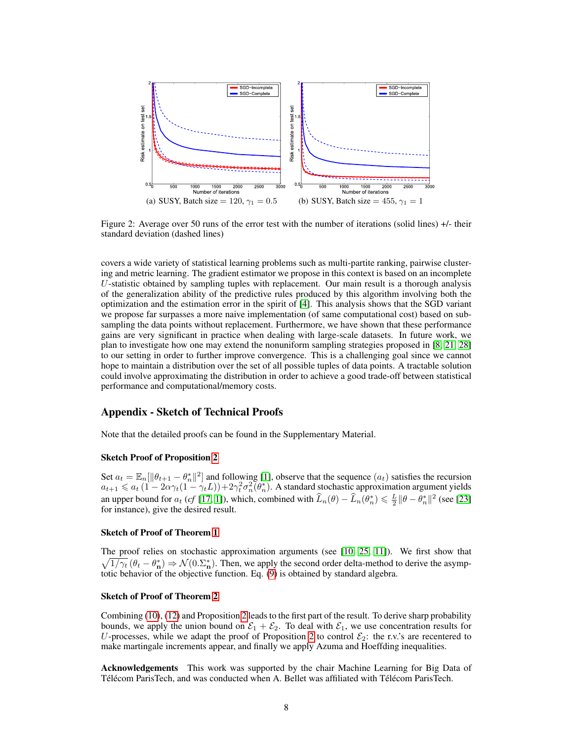

Figure 2: Average over 50 runs of the error test with the number of iterations (solid lines) +/- their standard deviation (dashed lines)

covers a wide variety of statistical learning problems such as multi-partite ranking, pairwise clustering and metric learning. The gradient estimator we propose in this context is based on an incomplete  $U$ -statistic obtained by sampling tuples with replacement. Our main result is a thorough analysis of the generalization ability of the predictive rules produced by this algorithm involving both the optimization and the estimation error in the spirit of [4]. This analysis shows that the SGD variant we propose far surpasses a more naive implementation (of same computational cost) based on subsampling the data points without replacement. Furthermore, we have shown that these performance gains are very significant in practice when dealing with large-scale datasets. In future work, we plan to investigate how one may extend the nonuniform sampling strategies proposed in [8, 21, 28] to our setting in order to further improve convergence. This is a challenging goal since we cannot hope to maintain a distribution over the set of all possible tuples of data points. A tractable solution could involve approximating the distribution in order to achieve a good trade-off between statistical performance and computational/memory costs.

# Appendix - Sketch of Technical Proofs

Note that the detailed proofs can be found in the Supplementary Material.

# Sketch Proof of Proposition 2

Set  $a_t = \mathbb{E}_n[\|\theta_{t+1} - \theta_n^*\|^2]$  and following [1], observe that the sequence  $(a_t)$  satisfies the recursion  $a_{t+1} \le a_t (1 - 2\alpha \gamma_t (1 - \gamma_t L)) + 2\gamma_t^2 \sigma_n^2(\theta_n^*)$ . A standard stochastic approximation argument yields an upper bound for  $a_t$  (*cf* [17, 1]), which, combined with  $\hat{L}_n(\theta) - \hat{L}_n(\theta_n^*) \leq \frac{L}{2} ||\theta - \theta_n^*||^2$  (see [23] for instance), give the desired result.

#### Sketch of Proof of Theorem 1

The proof relies on stochastic approximation arguments (see [10, 25, 11]). We first show that  $\sqrt{1/\gamma_t}$   $(\theta_t - \theta_n^*) \Rightarrow \mathcal{N}(0.\Sigma_n^*)$ . Then, we apply the second order delta-method to derive the asymptotic behavior of the objective function. Eq. (9) is obtained by standard algebra.

#### Sketch of Proof of Theorem 2

Combining (10), (12) and Proposition 2 leads to the first part of the result. To derive sharp probability bounds, we apply the union bound on  $\mathcal{E}_1 + \mathcal{E}_2$ . To deal with  $\mathcal{E}_1$ , we use concentration results for U-processes, while we adapt the proof of Proposition 2 to control  $\mathcal{E}_2$ : the r.v.'s are recentered to make martingale increments appear, and finally we apply Azuma and Hoeffding inequalities.

Acknowledgements This work was supported by the chair Machine Learning for Big Data of Télécom ParisTech, and was conducted when A. Bellet was affiliated with Télécom ParisTech.